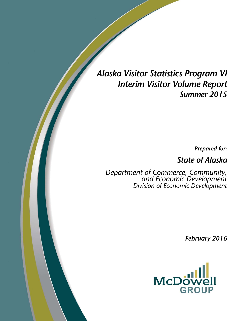## *Alaska Visitor Statistics Program VI Interim Visitor Volume Report Summer 2015*

*Prepared for:* 

*State of Alaska* 

*Department of Commerce, Community, and Economic Development Division of Economic Development* 

*February 2016*

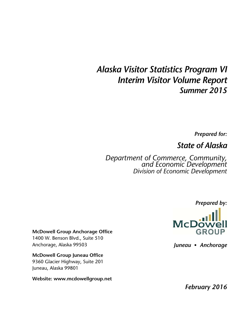## *Alaska Visitor Statistics Program VI Interim Visitor Volume Report Summer 2015*

*Prepared for:* 

*State of Alaska* 

*Department of Commerce, Community, and Economic Development Division of Economic Development* 

*Prepared by:* 



*Juneau Anchorage* 

**McDowell Group Anchorage Office**  1400 W. Benson Blvd., Suite 510 Anchorage, Alaska 99503

**McDowell Group Juneau Office**  9360 Glacier Highway, Suite 201 Juneau, Alaska 99801

**Website: www.mcdowellgroup.net** 

*February 2016*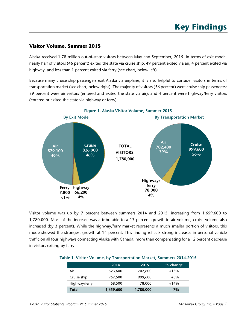## **Visitor Volume, Summer 2015**

Alaska received 1.78 million out-of-state visitors between May and September, 2015. In terms of exit mode, nearly half of visitors (46 percent) exited the state via cruise ship, 49 percent exited via air, 4 percent exited via highway, and less than 1 percent exited via ferry (see chart, below left).

Because many cruise ship passengers exit Alaska via airplane, it is also helpful to consider visitors in terms of transportation market (see chart, below right). The majority of visitors (56 percent) were cruise ship passengers; 39 percent were air visitors (entered and exited the state via air); and 4 percent were highway/ferry visitors (entered or exited the state via highway or ferry).



Visitor volume was up by 7 percent between summers 2014 and 2015, increasing from 1,659,600 to 1,780,000. Most of the increase was attributable to a 13 percent growth in air volume; cruise volume also increased (by 3 percent). While the highway/ferry market represents a much smaller portion of visitors, this mode showed the strongest growth at 14 percent. This finding reflects strong increases in personal vehicle traffic on all four highways connecting Alaska with Canada, more than compensating for a 12 percent decrease in visitors exiting by ferry.

|               | 2014      | 2015      | % change |
|---------------|-----------|-----------|----------|
| Air           | 623,600   | 702,600   | $+13%$   |
| Cruise ship   | 967,500   | 999,600   | $+3\%$   |
| Highway/ferry | 68,500    | 78,000    | $+14%$   |
| Total         | 1,659,600 | 1,780,000 | $+7%$    |

#### **Table 1. Visitor Volume, by Transportation Market, Summers 2014-2015**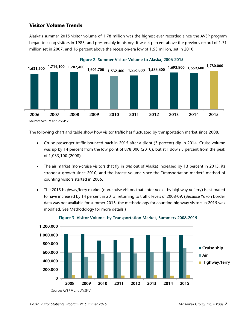## **Visitor Volume Trends**

Alaska's summer 2015 visitor volume of 1.78 million was the highest ever recorded since the AVSP program began tracking visitors in 1985, and presumably in history. It was 4 percent above the previous record of 1.71 million set in 2007, and 16 percent above the recession-era low of 1.53 million, set in 2010.



The following chart and table show how visitor traffic has fluctuated by transportation market since 2008.

- Cruise passenger traffic bounced back in 2015 after a slight (3 percent) dip in 2014. Cruise volume was up by 14 percent from the low point of 878,000 (2010), but still down 3 percent from the peak of 1,033,100 (2008).
- The air market (non-cruise visitors that fly in *and* out of Alaska) increased by 13 percent in 2015, its strongest growth since 2010, and the largest volume since the "transportation market" method of counting visitors started in 2006.
- The 2015 highway/ferry market (non-cruise visitors that enter *or* exit by highway *or* ferry) is estimated to have increased by 14 percent in 2015, returning to traffic levels of 2008-09. (Because Yukon border data was not available for summer 2015, the methodology for counting highway visitors in 2015 was modified. See Methodology for more details.)



#### **Figure 3. Visitor Volume, by Transportation Market, Summers 2008-2015**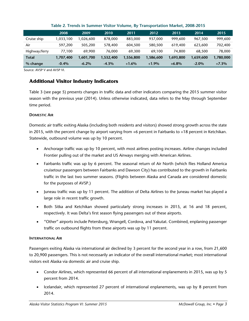|               | 2008      | 2009       | 2010      | 2011      | 2012      | 2013      | 2014      | 2015      |
|---------------|-----------|------------|-----------|-----------|-----------|-----------|-----------|-----------|
| Cruise ship   | 1,033,100 | .026,600 ا | 878,000   | 883,000   | 937,000   | 999,600   | 967,500   | 999,600   |
| Air           | 597,200   | 505,200    | 578,400   | 604,500   | 580,500   | 619,400   | 623,600   | 702,400   |
| Highway/ferry | 77,100    | 69.900     | 76.000    | 69,300    | 69.100    | 74,800    | 68,500    | 78,000    |
| Total         | 1,707,400 | 1,601,700  | 1,532,400 | 1,556,800 | 1,586,600 | 1,693,800 | 1,659,600 | 1,780,000 |
| % change      | $-0.4\%$  | $-6.2\%$   | $-4.3\%$  | $+1.6%$   | $+1.9\%$  | $+6.8\%$  | $-2.0\%$  | $+7.3\%$  |

#### **Table 2. Trends in Summer Visitor Volume, By Transportation Market, 2008-2015**

Source: AVSP V and AVSP VI.

### **Additional Visitor Industry Indicators**

Table 3 (see page 5) presents changes in traffic data and other indicators comparing the 2015 summer visitor season with the previous year (2014). Unless otherwise indicated, data refers to the May through September time period.

#### **DOMESTIC AIR**

Domestic air traffic exiting Alaska (including both residents and visitors) showed strong growth across the state in 2015, with the percent change by airport varying from +6 percent in Fairbanks to +18 percent in Ketchikan. Statewide, outbound volume was up by 10 percent.

- Anchorage traffic was up by 10 percent, with most airlines posting increases. Airline changes included Frontier pulling out of the market and US Airways merging with American Airlines.
- Fairbanks traffic was up by 6 percent. The seasonal return of Air North (which flies Holland America cruisetour passengers between Fairbanks and Dawson City) has contributed to the growth in Fairbanks traffic in the last two summer seasons. (Flights between Alaska and Canada are considered domestic for the purposes of AVSP.)
- Juneau traffic was up by 11 percent. The addition of Delta Airlines to the Juneau market has played a large role in recent traffic growth.
- Both Sitka and Ketchikan showed particularly strong increases in 2015, at 16 and 18 percent, respectively. It was Delta's first season flying passengers out of these airports.
- "Other" airports include Petersburg, Wrangell, Cordova, and Yakutat. Combined, enplaning passenger traffic on outbound flights from these airports was up by 11 percent.

#### **INTERNATIONAL AIR**

Passengers exiting Alaska via international air declined by 3 percent for the second year in a row, from 21,600 to 20,900 passengers. This is not necessarily an indicator of the overall international market; most international visitors exit Alaska via domestic air and cruise ship.

- Condor Airlines, which represented 66 percent of all international enplanements in 2015, was up by 5 percent from 2014.
- Icelandair, which represented 27 percent of international enplanements, was up by 8 percent from 2014.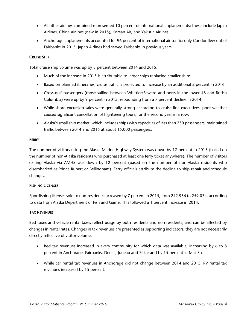- All other airlines combined represented 10 percent of international enplanements; these include Japan Airlines, China Airlines (new in 2015), Korean Air, and Yakutia Airlines.
- Anchorage enplanements accounted for 96 percent of international air traffic; only Condor flew out of Fairbanks in 2015. Japan Airlines had served Fairbanks in previous years.

#### **CRUISE SHIP**

Total cruise ship volume was up by 3 percent between 2014 and 2015.

- Much of the increase in 2015 is attributable to larger ships replacing smaller ships.
- Based on planned itineraries, cruise traffic is projected to increase by an additional 2 percent in 2016.
- Cross-gulf passengers (those sailing between Whittier/Seward and ports in the lower 48 and British Columbia) were up by 9 percent in 2015, rebounding from a 7 percent decline in 2014.
- While shore excursion sales were generally strong according to cruise line executives, poor weather caused significant cancellation of flightseeing tours, for the second year in a row.
- Alaska's small ship market, which includes ships with capacities of less than 250 passengers, maintained traffic between 2014 and 2015 at about 15,000 passengers.

#### **FERRY**

The number of visitors using the Alaska Marine Highway System was down by 17 percent in 2015 (based on the number of non-Alaska residents who purchased at least one ferry ticket anywhere). The number of visitors exiting Alaska via AMHS was down by 12 percent (based on the number of non-Alaska residents who disembarked at Prince Rupert or Bellingham). Ferry officials attribute the decline to ship repair and schedule changes.

#### **FISHING LICENSES**

Sportfishing licenses sold to non-residents increased by 7 percent in 2015, from 242,956 to 259,074, according to data from Alaska Department of Fish and Game. This followed a 1 percent increase in 2014.

#### **TAX REVENUES**

Bed taxes and vehicle rental taxes reflect usage by both residents and non-residents, and can be affected by changes in rental rates. Changes in tax revenues are presented as supporting indicators; they are not necessarily directly reflective of visitor volume.

- Bed tax revenues increased in every community for which data was available, increasing by 6 to 8 percent in Anchorage, Fairbanks, Denali, Juneau and Sitka; and by 15 percent in Mat-Su.
- While car rental tax revenues in Anchorage did not change between 2014 and 2015, RV rental tax revenues increased by 15 percent.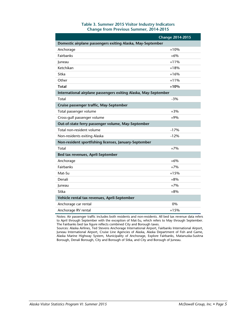| Table 3. Summer 2015 Visitor Industry Indicators |  |
|--------------------------------------------------|--|
| <b>Change from Previous Summer, 2014-2015</b>    |  |

|                                                                 | <b>Change 2014-2015</b> |  |  |  |  |  |
|-----------------------------------------------------------------|-------------------------|--|--|--|--|--|
| Domestic airplane passengers exiting Alaska, May-September      |                         |  |  |  |  |  |
| Anchorage                                                       | $+10%$                  |  |  |  |  |  |
| Fairbanks                                                       | $+6%$                   |  |  |  |  |  |
| Juneau                                                          | $+11%$                  |  |  |  |  |  |
| Ketchikan                                                       | $+18%$                  |  |  |  |  |  |
| Sitka                                                           | $+16%$                  |  |  |  |  |  |
| Other                                                           | $+11%$                  |  |  |  |  |  |
| <b>Total</b>                                                    | $+10%$                  |  |  |  |  |  |
| International airplane passengers exiting Alaska, May-September |                         |  |  |  |  |  |
| Total                                                           | $-3%$                   |  |  |  |  |  |
| Cruise passenger traffic, May-September                         |                         |  |  |  |  |  |
| Total passenger volume                                          | $+3%$                   |  |  |  |  |  |
| Cross-gulf passenger volume                                     | $+9%$                   |  |  |  |  |  |
| Out-of-state ferry passenger volume, May-September              |                         |  |  |  |  |  |
| Total non-resident volume                                       | $-17%$                  |  |  |  |  |  |
| Non-residents exiting Alaska                                    | $-12%$                  |  |  |  |  |  |
| Non-resident sportfishing licenses, January-September           |                         |  |  |  |  |  |
| Total                                                           | $+7%$                   |  |  |  |  |  |
| Bed tax revenues, April-September                               |                         |  |  |  |  |  |
| Anchorage                                                       | $+6%$                   |  |  |  |  |  |
| Fairbanks                                                       | $+7%$                   |  |  |  |  |  |
| Mat-Su                                                          | $+15%$                  |  |  |  |  |  |
| Denali                                                          | $+8%$                   |  |  |  |  |  |
| Juneau                                                          | $+7%$                   |  |  |  |  |  |
| Sitka                                                           | $+8%$                   |  |  |  |  |  |
| Vehicle rental tax revenues, April-September                    |                         |  |  |  |  |  |
| Anchorage car rental                                            | 0%                      |  |  |  |  |  |
| Anchorage RV rental                                             | $+15%$                  |  |  |  |  |  |

Notes: Air passenger traffic includes both residents and non-residents. All bed tax revenue data refers to April through September with the exception of Mat-Su, which refers to May through September. The Fairbanks bed tax figure reflects combined City and Borough taxes.

Sources: Alaska Airlines, Ted Stevens Anchorage International Airport, Fairbanks International Airport, Juneau International Airport, Cruise Line Agencies of Alaska, Alaska Department of Fish and Game, Alaska Marine Highway System, Municipality of Anchorage, Explore Fairbanks, Matanuska-Susitna Borough, Denali Borough, City and Borough of Sitka, and City and Borough of Juneau.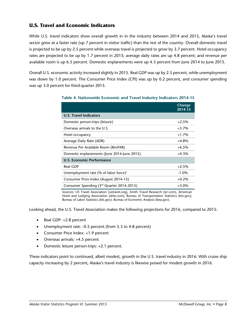## **U.S. Travel and Economic Indicators**

While U.S. travel indicators show overall growth in in the industry between 2014 and 2015, Alaska's travel sector grew at a faster rate (up 7 percent in visitor traffic) than the rest of the country. Overall domestic travel is projected to be up by 2.5 percent while overseas travel is projected to grow by 3.7 percent. Hotel occupancy rates are projected to be up by 1.7 percent in 2015; average daily rates are up 4.8 percent; and revenue per available room is up 6.5 percent. Domestic enplanements were up 4.3 percent from June 2014 to June 2015.

Overall U.S. economic activity increased slightly in 2015. Real GDP was up by 2.5 percent, while unemployment was down by 1.0 percent. The Consumer Price Index (CPI) was up by 0.2 percent, and consumer spending was up 3.0 percent for third-quarter 2015.

|                                                   | Change<br>2014-15 |
|---------------------------------------------------|-------------------|
| <b>U.S. Travel Indicators</b>                     |                   |
| Domestic person-trips (leisure)                   | $+2.5%$           |
| Overseas arrivals to the U.S.                     | $+3.7%$           |
| Hotel occupancy                                   | $+1.7%$           |
| Average Daily Rate (ADR)                          | $+4.8%$           |
| Revenue Per Available Room (RevPAR)               | $+6.5%$           |
| Domestic enplanements (June 2014-June 2015)       | $+4.3%$           |
| U.S. Economic Performance                         |                   |
| <b>Real GDP</b>                                   | $+2.5%$           |
| Unemployment rate (% of labor force) <sup>1</sup> | $-1.0\%$          |
| Consumer Price Index (August 2014-15)             | $+0.2%$           |
| Consumer Spending (3rd Quarter 2014-2015)         | $+3.0\%$          |

#### **Table 4. Nationwide Economic and Travel Industry Indicators 2014-15**

Sources: US Travel Association (ustravel.org), Smith Travel Research (str.com), American Hotel and Lodging Association (ahla.com), Bureau of Transportation Statistics (bts.gov), Bureau of Labor Statistics (bls.gov). Bureau of Economic Analysis (bea.gov).

Looking ahead, the U.S. Travel Association makes the following projections for 2016, compared to 2015:

- Real GDP: +2.8 percent
- Unemployment rate: -0.5 percent (from 5.3 to 4.8 percent)
- Consumer Price Index: +1.9 percent
- Overseas arrivals: +4.5 percent
- Domestic leisure person-trips: +2.1 percent.

These indicators point to continued, albeit modest, growth in the U.S. travel industry in 2016. With cruise ship capacity increasing by 2 percent, Alaska's travel industry is likewise poised for modest growth in 2016.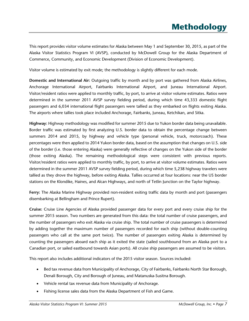# **Methodology**

This report provides visitor volume estimates for Alaska between May 1 and September 30, 2015, as part of the Alaska Visitor Statistics Program VI (AVSP), conducted by McDowell Group for the Alaska Department of Commerce, Community, and Economic Development (Division of Economic Development).

Visitor volume is estimated by exit mode; the methodology is slightly different for each mode.

**Domestic and International Air:** Outgoing traffic by month and by port was gathered from Alaska Airlines, Anchorage International Airport, Fairbanks International Airport, and Juneau International Airport. Visitor/resident ratios were applied to monthly traffic, by port, to arrive at visitor volume estimates. Ratios were determined in the summer 2011 AVSP survey fielding period, during which time 43,333 domestic flight passengers and 6,034 international flight passengers were tallied as they embarked on flights exiting Alaska. The airports where tallies took place included Anchorage, Fairbanks, Juneau, Ketchikan, and Sitka.

**Highway:** Highway methodology was modified for summer 2015 due to Yukon border data being unavailable. Border traffic was estimated by first analyzing U.S. border data to obtain the percentage change between summers 2014 and 2015, by highway and vehicle type (personal vehicle, truck, motorcoach). These percentages were then applied to 2014 Yukon border data, based on the assumption that changes on U.S. side of the border (i.e. those entering Alaska) were generally reflective of changes on the Yukon side of the border (those exiting Alaska). The remaining methodological steps were consistent with previous reports. Visitor/resident ratios were applied to monthly traffic, by port, to arrive at visitor volume estimates. Ratios were determined in the summer 2011 AVSP survey fielding period, during which time 5,238 highway travelers were tallied as they drove the highway, before exiting Alaska. Tallies occurred at four locations: near the US border stations on the Klondike, Haines, and Alcan Highways, and north of Tetlin Junction on the Taylor highway.

**Ferry:** The Alaska Marine Highway provided non-resident exiting traffic data by month and port (passengers disembarking at Bellingham and Prince Rupert).

**Cruise:** Cruise Line Agencies of Alaska provided passenger data for every port and every cruise ship for the summer 2015 season. Two numbers are generated from this data: the total number of cruise passengers, and the number of passengers who exit Alaska via cruise ship. The total number of cruise passengers is determined by adding together the maximum number of passengers recorded for each ship (without double-counting passengers who call at the same port twice). The number of passengers exiting Alaska is determined by counting the passengers aboard each ship as it exited the state (sailed southbound from an Alaska port to a Canadian port, or sailed eastbound towards Asian ports). All cruise ship passengers are assumed to be visitors.

This report also includes additional indicators of the 2015 visitor season. Sources included:

- Bed tax revenue data from Municipality of Anchorage, City of Fairbanks, Fairbanks North Star Borough, Denali Borough, City and Borough of Juneau, and Matanuska-Susitna Borough.
- Vehicle rental tax revenue data from Municipality of Anchorage.
- Fishing license sales data from the Alaska Department of Fish and Game.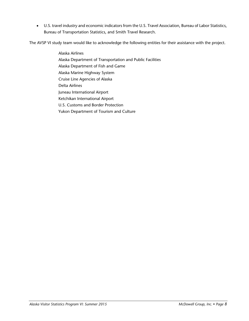U.S. travel industry and economic indicators from the U.S. Travel Association, Bureau of Labor Statistics, Bureau of Transportation Statistics, and Smith Travel Research.

The AVSP VI study team would like to acknowledge the following entities for their assistance with the project.

Alaska Airlines Alaska Department of Transportation and Public Facilities Alaska Department of Fish and Game Alaska Marine Highway System Cruise Line Agencies of Alaska Delta Airlines Juneau International Airport Ketchikan International Airport U.S. Customs and Border Protection Yukon Department of Tourism and Culture